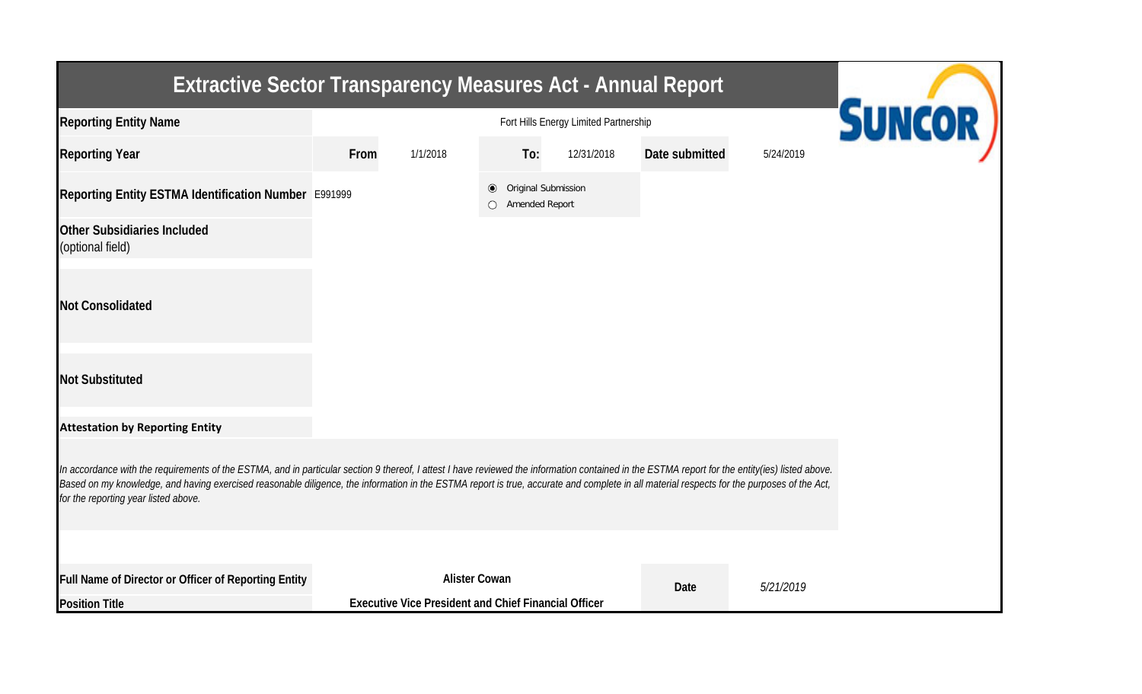| <b>Extractive Sector Transparency Measures Act - Annual Report</b>                                                                                                                                                                                                                                                                                                                                                                    |      |                                                                                     |                             |                     |                |           |  |
|---------------------------------------------------------------------------------------------------------------------------------------------------------------------------------------------------------------------------------------------------------------------------------------------------------------------------------------------------------------------------------------------------------------------------------------|------|-------------------------------------------------------------------------------------|-----------------------------|---------------------|----------------|-----------|--|
| <b>Reporting Entity Name</b>                                                                                                                                                                                                                                                                                                                                                                                                          |      | <b>SUNCOR</b>                                                                       |                             |                     |                |           |  |
| <b>Reporting Year</b>                                                                                                                                                                                                                                                                                                                                                                                                                 | From | 1/1/2018                                                                            | To:                         | 12/31/2018          | Date submitted | 5/24/2019 |  |
| Reporting Entity ESTMA Identification Number E991999                                                                                                                                                                                                                                                                                                                                                                                  |      |                                                                                     | $\bullet$<br>Amended Report | Original Submission |                |           |  |
| <b>Other Subsidiaries Included</b><br>(optional field)                                                                                                                                                                                                                                                                                                                                                                                |      |                                                                                     |                             |                     |                |           |  |
| <b>Not Consolidated</b>                                                                                                                                                                                                                                                                                                                                                                                                               |      |                                                                                     |                             |                     |                |           |  |
| <b>Not Substituted</b>                                                                                                                                                                                                                                                                                                                                                                                                                |      |                                                                                     |                             |                     |                |           |  |
| <b>Attestation by Reporting Entity</b>                                                                                                                                                                                                                                                                                                                                                                                                |      |                                                                                     |                             |                     |                |           |  |
| In accordance with the requirements of the ESTMA, and in particular section 9 thereof, I attest I have reviewed the information contained in the ESTMA report for the entity(ies) listed above.<br>Based on my knowledge, and having exercised reasonable diligence, the information in the ESTMA report is true, accurate and complete in all material respects for the purposes of the Act,<br>for the reporting year listed above. |      |                                                                                     |                             |                     |                |           |  |
|                                                                                                                                                                                                                                                                                                                                                                                                                                       |      |                                                                                     |                             |                     |                |           |  |
| Full Name of Director or Officer of Reporting Entity<br><b>Position Title</b>                                                                                                                                                                                                                                                                                                                                                         |      | <b>Alister Cowan</b><br><b>Executive Vice President and Chief Financial Officer</b> |                             |                     | Date           | 5/21/2019 |  |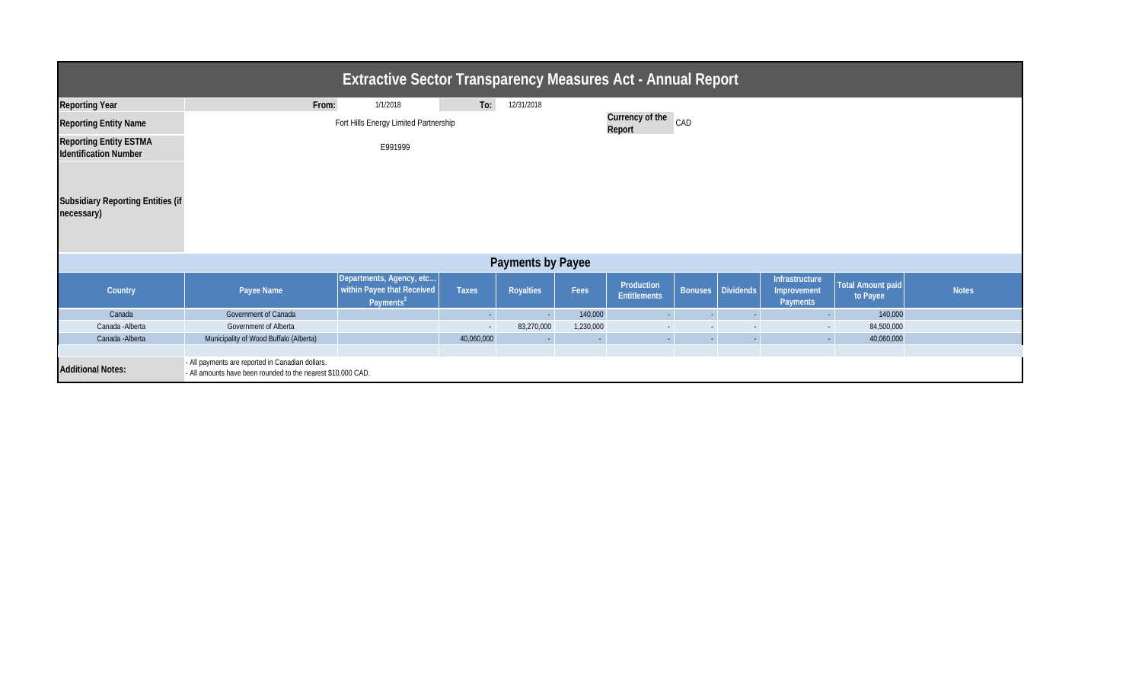| <b>Extractive Sector Transparency Measures Act - Annual Report</b>                                                                           |                                                                        |                                                                                 |              |                  |           |                                   |  |                     |                                                  |                               |              |
|----------------------------------------------------------------------------------------------------------------------------------------------|------------------------------------------------------------------------|---------------------------------------------------------------------------------|--------------|------------------|-----------|-----------------------------------|--|---------------------|--------------------------------------------------|-------------------------------|--------------|
| <b>Reporting Year</b>                                                                                                                        | From:                                                                  | 1/1/2018                                                                        | To:          | 12/31/2018       |           |                                   |  |                     |                                                  |                               |              |
| <b>Reporting Entity Name</b>                                                                                                                 | Currency of the CAD<br>Fort Hills Energy Limited Partnership<br>Report |                                                                                 |              |                  |           |                                   |  |                     |                                                  |                               |              |
| <b>Reporting Entity ESTMA</b><br><b>Identification Number</b>                                                                                |                                                                        | E991999                                                                         |              |                  |           |                                   |  |                     |                                                  |                               |              |
| <b>Subsidiary Reporting Entities (if</b><br>necessary)                                                                                       |                                                                        |                                                                                 |              |                  |           |                                   |  |                     |                                                  |                               |              |
| <b>Payments by Payee</b>                                                                                                                     |                                                                        |                                                                                 |              |                  |           |                                   |  |                     |                                                  |                               |              |
| Country                                                                                                                                      | Payee Name                                                             | Departments, Agency, etc<br>within Payee that Received<br>Payments <sup>2</sup> | <b>Taxes</b> | <b>Royalties</b> | Fees      | Production<br><b>Entitlements</b> |  | Bonuses   Dividends | Infrastructure<br>Improvement<br><b>Payments</b> | Total Amount paid<br>to Payee | <b>Notes</b> |
| Canada                                                                                                                                       | Government of Canada                                                   |                                                                                 | $\sim$       |                  | 140,000   |                                   |  |                     |                                                  | 140,000                       |              |
| Canada - Alberta                                                                                                                             | Government of Alberta                                                  |                                                                                 | $\sim$       | 83,270,000       | 1,230,000 |                                   |  |                     |                                                  | 84,500,000                    |              |
| Canada - Alberta                                                                                                                             | Municipality of Wood Buffalo (Alberta)                                 |                                                                                 | 40,060,000   |                  | $\sim$    |                                   |  |                     |                                                  | 40,060,000                    |              |
|                                                                                                                                              |                                                                        |                                                                                 |              |                  |           |                                   |  |                     |                                                  |                               |              |
| - All payments are reported in Canadian dollars.<br><b>Additional Notes:</b><br>- All amounts have been rounded to the nearest \$10,000 CAD. |                                                                        |                                                                                 |              |                  |           |                                   |  |                     |                                                  |                               |              |